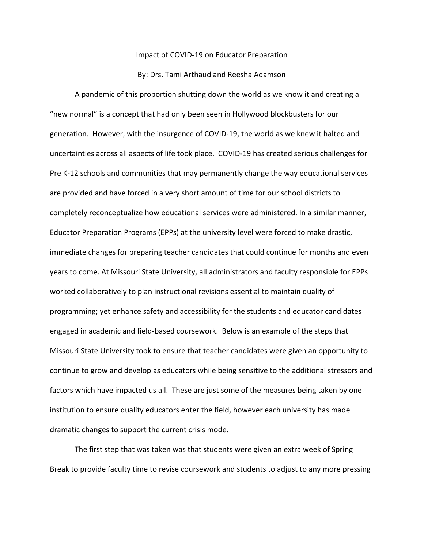## Impact of COVID-19 on Educator Preparation

## By: Drs. Tami Arthaud and Reesha Adamson

A pandemic of this proportion shutting down the world as we know it and creating a "new normal" is a concept that had only been seen in Hollywood blockbusters for our generation. However, with the insurgence of COVID-19, the world as we knew it halted and uncertainties across all aspects of life took place. COVID-19 has created serious challenges for Pre K-12 schools and communities that may permanently change the way educational services are provided and have forced in a very short amount of time for our school districts to completely reconceptualize how educational services were administered. In a similar manner, Educator Preparation Programs (EPPs) at the university level were forced to make drastic, immediate changes for preparing teacher candidates that could continue for months and even years to come. At Missouri State University, all administrators and faculty responsible for EPPs worked collaboratively to plan instructional revisions essential to maintain quality of programming; yet enhance safety and accessibility for the students and educator candidates engaged in academic and field-based coursework. Below is an example of the steps that Missouri State University took to ensure that teacher candidates were given an opportunity to continue to grow and develop as educators while being sensitive to the additional stressors and factors which have impacted us all. These are just some of the measures being taken by one institution to ensure quality educators enter the field, however each university has made dramatic changes to support the current crisis mode.

The first step that was taken was that students were given an extra week of Spring Break to provide faculty time to revise coursework and students to adjust to any more pressing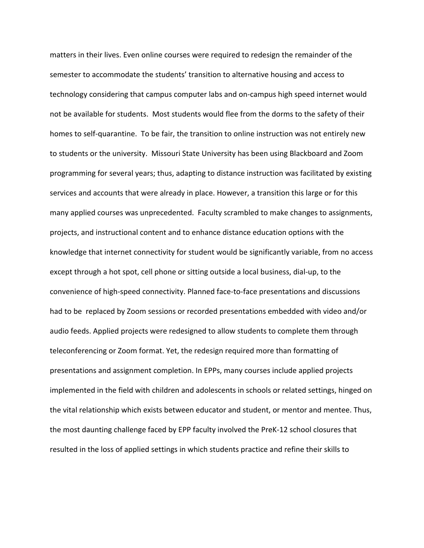matters in their lives. Even online courses were required to redesign the remainder of the semester to accommodate the students' transition to alternative housing and access to technology considering that campus computer labs and on-campus high speed internet would not be available for students. Most students would flee from the dorms to the safety of their homes to self-quarantine. To be fair, the transition to online instruction was not entirely new to students or the university. Missouri State University has been using Blackboard and Zoom programming for several years; thus, adapting to distance instruction was facilitated by existing services and accounts that were already in place. However, a transition this large or for this many applied courses was unprecedented. Faculty scrambled to make changes to assignments, projects, and instructional content and to enhance distance education options with the knowledge that internet connectivity for student would be significantly variable, from no access except through a hot spot, cell phone or sitting outside a local business, dial-up, to the convenience of high-speed connectivity. Planned face-to-face presentations and discussions had to be replaced by Zoom sessions or recorded presentations embedded with video and/or audio feeds. Applied projects were redesigned to allow students to complete them through teleconferencing or Zoom format. Yet, the redesign required more than formatting of presentations and assignment completion. In EPPs, many courses include applied projects implemented in the field with children and adolescents in schools or related settings, hinged on the vital relationship which exists between educator and student, or mentor and mentee. Thus, the most daunting challenge faced by EPP faculty involved the PreK-12 school closures that resulted in the loss of applied settings in which students practice and refine their skills to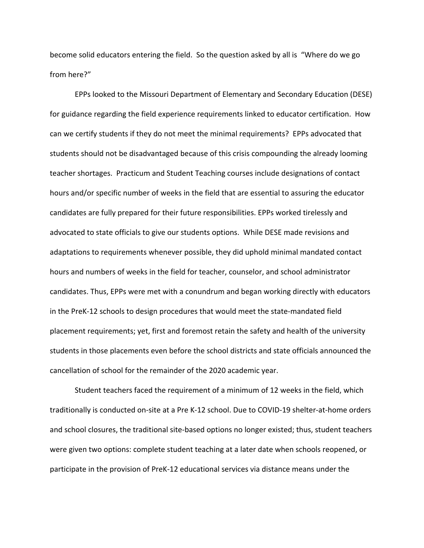become solid educators entering the field. So the question asked by all is "Where do we go from here?"

EPPs looked to the Missouri Department of Elementary and Secondary Education (DESE) for guidance regarding the field experience requirements linked to educator certification. How can we certify students if they do not meet the minimal requirements? EPPs advocated that students should not be disadvantaged because of this crisis compounding the already looming teacher shortages. Practicum and Student Teaching courses include designations of contact hours and/or specific number of weeks in the field that are essential to assuring the educator candidates are fully prepared for their future responsibilities. EPPs worked tirelessly and advocated to state officials to give our students options. While DESE made revisions and adaptations to requirements whenever possible, they did uphold minimal mandated contact hours and numbers of weeks in the field for teacher, counselor, and school administrator candidates. Thus, EPPs were met with a conundrum and began working directly with educators in the PreK-12 schools to design procedures that would meet the state-mandated field placement requirements; yet, first and foremost retain the safety and health of the university students in those placements even before the school districts and state officials announced the cancellation of school for the remainder of the 2020 academic year.

Student teachers faced the requirement of a minimum of 12 weeks in the field, which traditionally is conducted on-site at a Pre K-12 school. Due to COVID-19 shelter-at-home orders and school closures, the traditional site-based options no longer existed; thus, student teachers were given two options: complete student teaching at a later date when schools reopened, or participate in the provision of PreK-12 educational services via distance means under the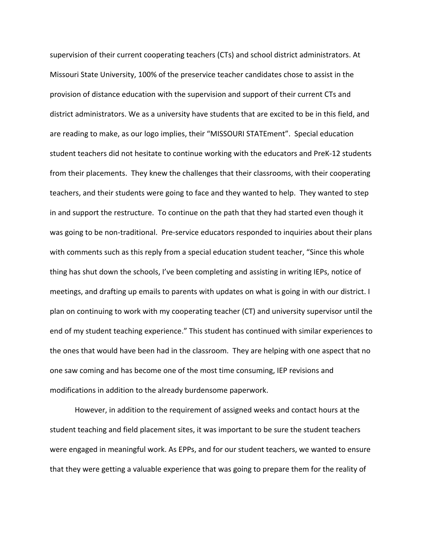supervision of their current cooperating teachers (CTs) and school district administrators. At Missouri State University, 100% of the preservice teacher candidates chose to assist in the provision of distance education with the supervision and support of their current CTs and district administrators. We as a university have students that are excited to be in this field, and are reading to make, as our logo implies, their "MISSOURI STATEment". Special education student teachers did not hesitate to continue working with the educators and PreK-12 students from their placements. They knew the challenges that their classrooms, with their cooperating teachers, and their students were going to face and they wanted to help. They wanted to step in and support the restructure. To continue on the path that they had started even though it was going to be non-traditional. Pre-service educators responded to inquiries about their plans with comments such as this reply from a special education student teacher, "Since this whole thing has shut down the schools, I've been completing and assisting in writing IEPs, notice of meetings, and drafting up emails to parents with updates on what is going in with our district. I plan on continuing to work with my cooperating teacher (CT) and university supervisor until the end of my student teaching experience." This student has continued with similar experiences to the ones that would have been had in the classroom. They are helping with one aspect that no one saw coming and has become one of the most time consuming, IEP revisions and modifications in addition to the already burdensome paperwork.

However, in addition to the requirement of assigned weeks and contact hours at the student teaching and field placement sites, it was important to be sure the student teachers were engaged in meaningful work. As EPPs, and for our student teachers, we wanted to ensure that they were getting a valuable experience that was going to prepare them for the reality of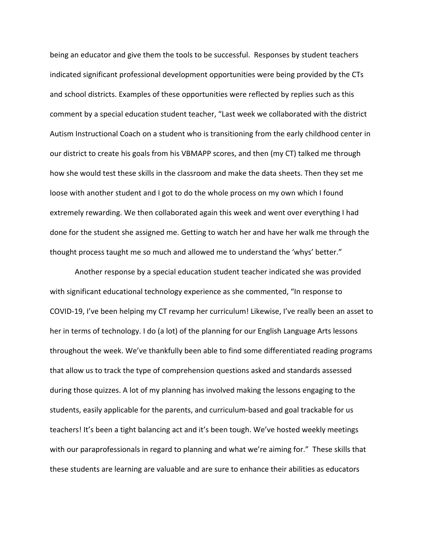being an educator and give them the tools to be successful. Responses by student teachers indicated significant professional development opportunities were being provided by the CTs and school districts. Examples of these opportunities were reflected by replies such as this comment by a special education student teacher, "Last week we collaborated with the district Autism Instructional Coach on a student who is transitioning from the early childhood center in our district to create his goals from his VBMAPP scores, and then (my CT) talked me through how she would test these skills in the classroom and make the data sheets. Then they set me loose with another student and I got to do the whole process on my own which I found extremely rewarding. We then collaborated again this week and went over everything I had done for the student she assigned me. Getting to watch her and have her walk me through the thought process taught me so much and allowed me to understand the 'whys' better."

Another response by a special education student teacher indicated she was provided with significant educational technology experience as she commented, "In response to COVID-19, I've been helping my CT revamp her curriculum! Likewise, I've really been an asset to her in terms of technology. I do (a lot) of the planning for our English Language Arts lessons throughout the week. We've thankfully been able to find some differentiated reading programs that allow us to track the type of comprehension questions asked and standards assessed during those quizzes. A lot of my planning has involved making the lessons engaging to the students, easily applicable for the parents, and curriculum-based and goal trackable for us teachers! It's been a tight balancing act and it's been tough. We've hosted weekly meetings with our paraprofessionals in regard to planning and what we're aiming for." These skills that these students are learning are valuable and are sure to enhance their abilities as educators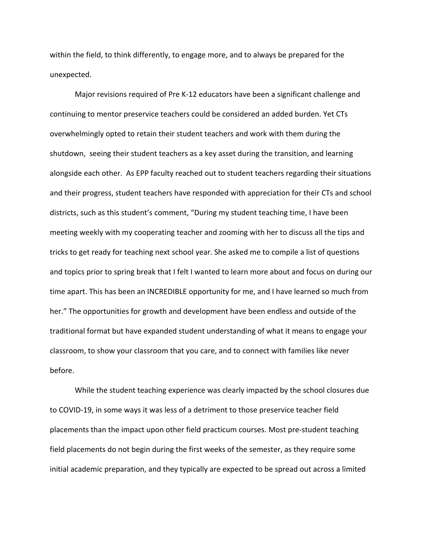within the field, to think differently, to engage more, and to always be prepared for the unexpected.

Major revisions required of Pre K-12 educators have been a significant challenge and continuing to mentor preservice teachers could be considered an added burden. Yet CTs overwhelmingly opted to retain their student teachers and work with them during the shutdown, seeing their student teachers as a key asset during the transition, and learning alongside each other. As EPP faculty reached out to student teachers regarding their situations and their progress, student teachers have responded with appreciation for their CTs and school districts, such as this student's comment, "During my student teaching time, I have been meeting weekly with my cooperating teacher and zooming with her to discuss all the tips and tricks to get ready for teaching next school year. She asked me to compile a list of questions and topics prior to spring break that I felt I wanted to learn more about and focus on during our time apart. This has been an INCREDIBLE opportunity for me, and I have learned so much from her." The opportunities for growth and development have been endless and outside of the traditional format but have expanded student understanding of what it means to engage your classroom, to show your classroom that you care, and to connect with families like never before.

While the student teaching experience was clearly impacted by the school closures due to COVID-19, in some ways it was less of a detriment to those preservice teacher field placements than the impact upon other field practicum courses. Most pre-student teaching field placements do not begin during the first weeks of the semester, as they require some initial academic preparation, and they typically are expected to be spread out across a limited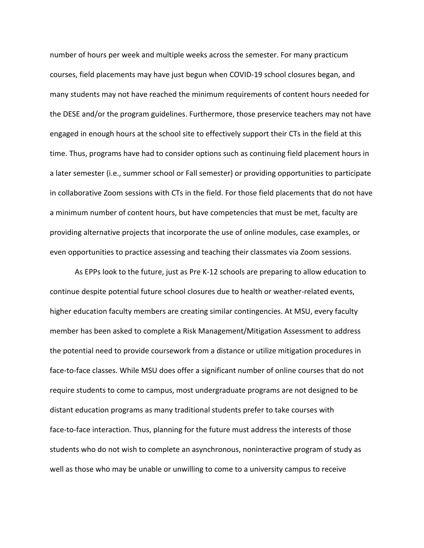number of hours per week and multiple weeks across the semester. For many practicum courses, field placements may have just begun when COVID-19 school closures began, and many students may not have reached the minimum requirements of content hours needed for the DESE and/or the program guidelines. Furthermore, those preservice teachers may not have engaged in enough hours at the school site to effectively support their CTs in the field at this time. Thus, programs have had to consider options such as continuing field placement hours in a later semester (i.e., summer school or Fall semester) or providing opportunities to participate in collaborative Zoom sessions with CTs in the field. For those field placements that do not have a minimum number of content hours, but have competencies that must be met, faculty are providing alternative projects that incorporate the use of online modules, case examples, or even opportunities to practice assessing and teaching their classmates via Zoom sessions.

As EPPs look to the future, just as Pre K-12 schools are preparing to allow education to continue despite potential future school closures due to health or weather-related events, higher education faculty members are creating similar contingencies. At MSU, every faculty member has been asked to complete a Risk Management/Mitigation Assessment to address the potential need to provide coursework from a distance or utilize mitigation procedures in face-to-face classes. While MSU does offer a significant number of online courses that do not require students to come to campus, most undergraduate programs are not designed to be distant education programs as many traditional students prefer to take courses with face-to-face interaction. Thus, planning for the future must address the interests of those students who do not wish to complete an asynchronous, noninteractive program of study as well as those who may be unable or unwilling to come to a university campus to receive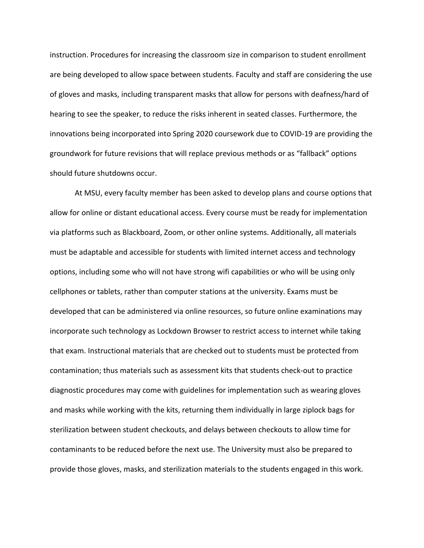instruction. Procedures for increasing the classroom size in comparison to student enrollment are being developed to allow space between students. Faculty and staff are considering the use of gloves and masks, including transparent masks that allow for persons with deafness/hard of hearing to see the speaker, to reduce the risks inherent in seated classes. Furthermore, the innovations being incorporated into Spring 2020 coursework due to COVID-19 are providing the groundwork for future revisions that will replace previous methods or as "fallback" options should future shutdowns occur.

At MSU, every faculty member has been asked to develop plans and course options that allow for online or distant educational access. Every course must be ready for implementation via platforms such as Blackboard, Zoom, or other online systems. Additionally, all materials must be adaptable and accessible for students with limited internet access and technology options, including some who will not have strong wifi capabilities or who will be using only cellphones or tablets, rather than computer stations at the university. Exams must be developed that can be administered via online resources, so future online examinations may incorporate such technology as Lockdown Browser to restrict access to internet while taking that exam. Instructional materials that are checked out to students must be protected from contamination; thus materials such as assessment kits that students check-out to practice diagnostic procedures may come with guidelines for implementation such as wearing gloves and masks while working with the kits, returning them individually in large ziplock bags for sterilization between student checkouts, and delays between checkouts to allow time for contaminants to be reduced before the next use. The University must also be prepared to provide those gloves, masks, and sterilization materials to the students engaged in this work.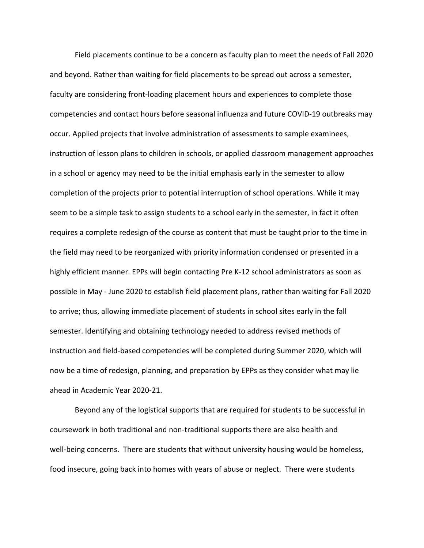Field placements continue to be a concern as faculty plan to meet the needs of Fall 2020 and beyond. Rather than waiting for field placements to be spread out across a semester, faculty are considering front-loading placement hours and experiences to complete those competencies and contact hours before seasonal influenza and future COVID-19 outbreaks may occur. Applied projects that involve administration of assessments to sample examinees, instruction of lesson plans to children in schools, or applied classroom management approaches in a school or agency may need to be the initial emphasis early in the semester to allow completion of the projects prior to potential interruption of school operations. While it may seem to be a simple task to assign students to a school early in the semester, in fact it often requires a complete redesign of the course as content that must be taught prior to the time in the field may need to be reorganized with priority information condensed or presented in a highly efficient manner. EPPs will begin contacting Pre K-12 school administrators as soon as possible in May - June 2020 to establish field placement plans, rather than waiting for Fall 2020 to arrive; thus, allowing immediate placement of students in school sites early in the fall semester. Identifying and obtaining technology needed to address revised methods of instruction and field-based competencies will be completed during Summer 2020, which will now be a time of redesign, planning, and preparation by EPPs as they consider what may lie ahead in Academic Year 2020-21.

Beyond any of the logistical supports that are required for students to be successful in coursework in both traditional and non-traditional supports there are also health and well-being concerns. There are students that without university housing would be homeless, food insecure, going back into homes with years of abuse or neglect. There were students